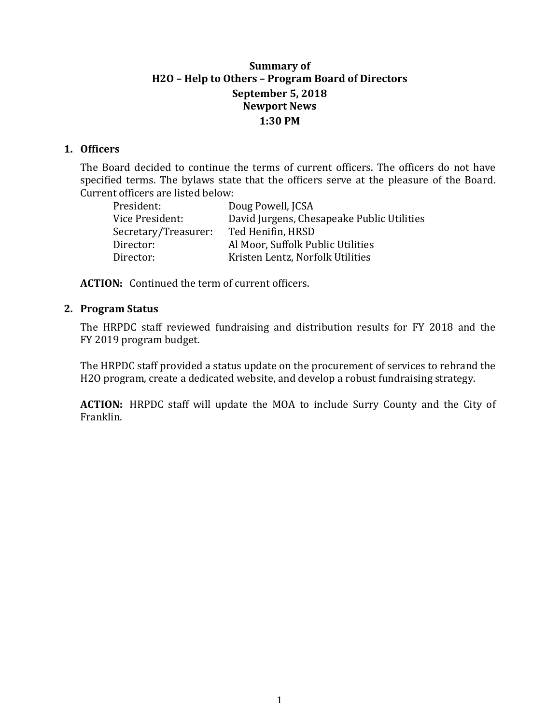# **Summary of H2O – Help to Others – Program Board of Directors September 5, 2018 Newport News 1:30 PM**

## **1. Officers**

The Board decided to continue the terms of current officers. The officers do not have specified terms. The bylaws state that the officers serve at the pleasure of the Board. Current officers are listed below:

| President:           | Doug Powell, JCSA                          |
|----------------------|--------------------------------------------|
| Vice President:      | David Jurgens, Chesapeake Public Utilities |
| Secretary/Treasurer: | Ted Henifin, HRSD                          |
| Director:            | Al Moor, Suffolk Public Utilities          |
| Director:            | Kristen Lentz, Norfolk Utilities           |
|                      |                                            |

**ACTION:** Continued the term of current officers.

## **2. Program Status**

The HRPDC staff reviewed fundraising and distribution results for FY 2018 and the FY 2019 program budget.

The HRPDC staff provided a status update on the procurement of services to rebrand the H2O program, create a dedicated website, and develop a robust fundraising strategy.

**ACTION:** HRPDC staff will update the MOA to include Surry County and the City of Franklin.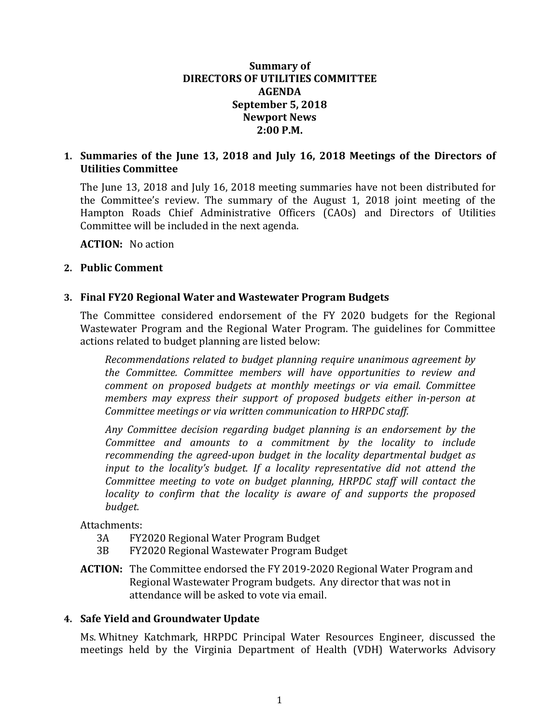#### **Summary of DIRECTORS OF UTILITIES COMMITTEE AGENDA September 5, 2018 Newport News 2:00 P.M.**

## **1. Summaries of the June 13, 2018 and July 16, 2018 Meetings of the Directors of Utilities Committee**

The June 13, 2018 and July 16, 2018 meeting summaries have not been distributed for the Committee's review. The summary of the August 1, 2018 joint meeting of the Hampton Roads Chief Administrative Officers (CAOs) and Directors of Utilities Committee will be included in the next agenda.

**ACTION:** No action

#### **2. Public Comment**

#### **3. Final FY20 Regional Water and Wastewater Program Budgets**

The Committee considered endorsement of the FY 2020 budgets for the Regional Wastewater Program and the Regional Water Program. The guidelines for Committee actions related to budget planning are listed below:

*Recommendations related to budget planning require unanimous agreement by the Committee. Committee members will have opportunities to review and comment on proposed budgets at monthly meetings or via email. Committee members may express their support of proposed budgets either in-person at Committee meetings or via written communication to HRPDC staff.*

*Any Committee decision regarding budget planning is an endorsement by the Committee and amounts to a commitment by the locality to include recommending the agreed-upon budget in the locality departmental budget as input to the locality's budget. If a locality representative did not attend the Committee meeting to vote on budget planning, HRPDC staff will contact the locality to confirm that the locality is aware of and supports the proposed budget.*

# Attachments:<br>3A FY2

- 3A FY2020 Regional Water Program Budget<br>3B FY2020 Regional Wastewater Program Br
- 3B FY2020 Regional Wastewater Program Budget
- **ACTION:** The Committee endorsed the FY 2019-2020 Regional Water Program and Regional Wastewater Program budgets. Any director that was not in attendance will be asked to vote via email.

#### **4. Safe Yield and Groundwater Update**

Ms. Whitney Katchmark, HRPDC Principal Water Resources Engineer, discussed the meetings held by the Virginia Department of Health (VDH) Waterworks Advisory